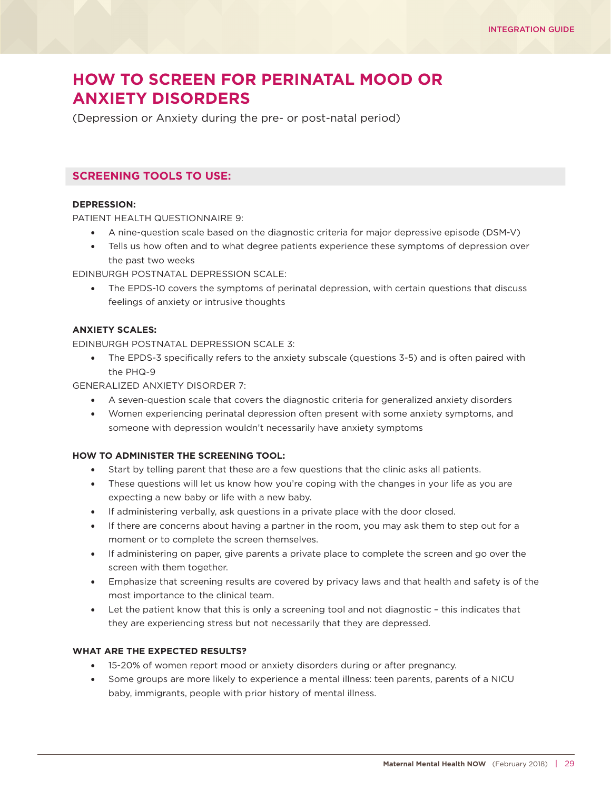# **HOW TO SCREEN FOR PERINATAL MOOD OR ANXIETY DISORDERS**

(Depression or Anxiety during the pre- or post-natal period)

# **SCREENING TOOLS TO USE:**

## **DEPRESSION:**

PATIENT HEALTH QUESTIONNAIRE 9:

- A nine-question scale based on the diagnostic criteria for major depressive episode (DSM-V)
- Tells us how often and to what degree patients experience these symptoms of depression over the past two weeks

EDINBURGH POSTNATAL DEPRESSION SCALE:

• The EPDS-10 covers the symptoms of perinatal depression, with certain questions that discuss feelings of anxiety or intrusive thoughts

## **ANXIETY SCALES:**

EDINBURGH POSTNATAL DEPRESSION SCALE 3:

• The EPDS-3 specifically refers to the anxiety subscale (questions 3-5) and is often paired with the PHQ-9

GENERALIZED ANXIETY DISORDER 7:

- A seven-question scale that covers the diagnostic criteria for generalized anxiety disorders
- Women experiencing perinatal depression often present with some anxiety symptoms, and someone with depression wouldn't necessarily have anxiety symptoms

## **HOW TO ADMINISTER THE SCREENING TOOL:**

- Start by telling parent that these are a few questions that the clinic asks all patients.
- These questions will let us know how you're coping with the changes in your life as you are expecting a new baby or life with a new baby.
- If administering verbally, ask questions in a private place with the door closed.
- If there are concerns about having a partner in the room, you may ask them to step out for a moment or to complete the screen themselves.
- If administering on paper, give parents a private place to complete the screen and go over the screen with them together.
- Emphasize that screening results are covered by privacy laws and that health and safety is of the most importance to the clinical team.
- Let the patient know that this is only a screening tool and not diagnostic this indicates that they are experiencing stress but not necessarily that they are depressed.

## **WHAT ARE THE EXPECTED RESULTS?**

- 15-20% of women report mood or anxiety disorders during or after pregnancy.
- Some groups are more likely to experience a mental illness: teen parents, parents of a NICU baby, immigrants, people with prior history of mental illness.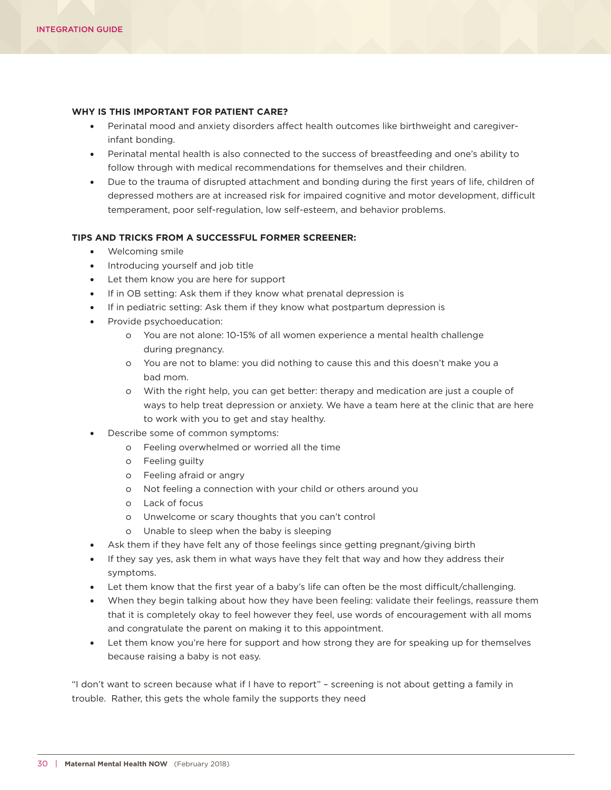### **WHY IS THIS IMPORTANT FOR PATIENT CARE?**

- Perinatal mood and anxiety disorders affect health outcomes like birthweight and caregiverinfant bonding.
- Perinatal mental health is also connected to the success of breastfeeding and one's ability to follow through with medical recommendations for themselves and their children.
- Due to the trauma of disrupted attachment and bonding during the first years of life, children of depressed mothers are at increased risk for impaired cognitive and motor development, difficult temperament, poor self-regulation, low self-esteem, and behavior problems.

#### **TIPS AND TRICKS FROM A SUCCESSFUL FORMER SCREENER:**

- Welcoming smile
- Introducing yourself and job title
- Let them know you are here for support
- If in OB setting: Ask them if they know what prenatal depression is
- If in pediatric setting: Ask them if they know what postpartum depression is
- Provide psychoeducation:
	- o You are not alone: 10-15% of all women experience a mental health challenge during pregnancy.
	- o You are not to blame: you did nothing to cause this and this doesn't make you a bad mom.
	- o With the right help, you can get better: therapy and medication are just a couple of ways to help treat depression or anxiety. We have a team here at the clinic that are here to work with you to get and stay healthy.
- Describe some of common symptoms:
	- o Feeling overwhelmed or worried all the time
	- o Feeling guilty
	- o Feeling afraid or angry
	- o Not feeling a connection with your child or others around you
	- o Lack of focus
	- o Unwelcome or scary thoughts that you can't control
	- o Unable to sleep when the baby is sleeping
- Ask them if they have felt any of those feelings since getting pregnant/giving birth
- If they say yes, ask them in what ways have they felt that way and how they address their symptoms.
- Let them know that the first year of a baby's life can often be the most difficult/challenging.
- When they begin talking about how they have been feeling: validate their feelings, reassure them that it is completely okay to feel however they feel, use words of encouragement with all moms and congratulate the parent on making it to this appointment.
- Let them know you're here for support and how strong they are for speaking up for themselves because raising a baby is not easy.

"I don't want to screen because what if I have to report" – screening is not about getting a family in trouble. Rather, this gets the whole family the supports they need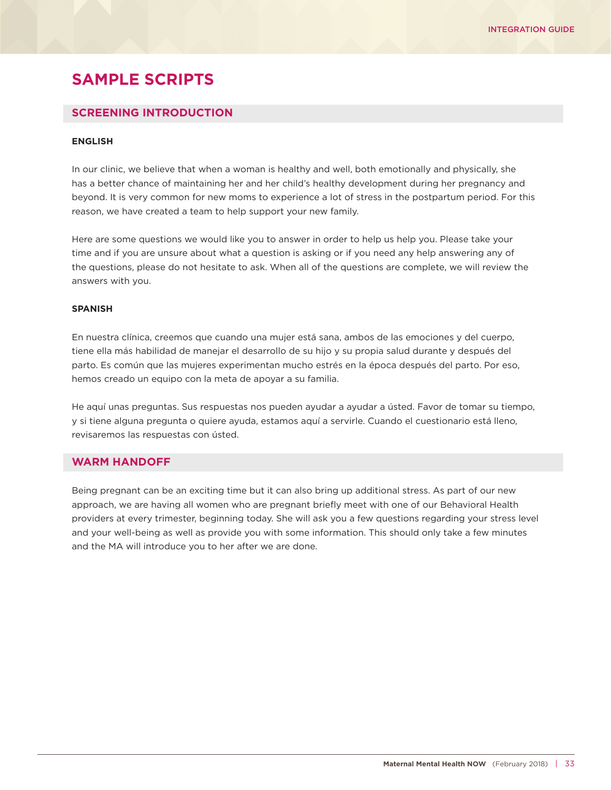# **SAMPLE SCRIPTS**

## **SCREENING INTRODUCTION**

### **ENGLISH**

In our clinic, we believe that when a woman is healthy and well, both emotionally and physically, she has a better chance of maintaining her and her child's healthy development during her pregnancy and beyond. It is very common for new moms to experience a lot of stress in the postpartum period. For this reason, we have created a team to help support your new family.

Here are some questions we would like you to answer in order to help us help you. Please take your time and if you are unsure about what a question is asking or if you need any help answering any of the questions, please do not hesitate to ask. When all of the questions are complete, we will review the answers with you.

#### **SPANISH**

En nuestra clínica, creemos que cuando una mujer está sana, ambos de las emociones y del cuerpo, tiene ella más habilidad de manejar el desarrollo de su hijo y su propia salud durante y después del parto. Es común que las mujeres experimentan mucho estrés en la época después del parto. Por eso, hemos creado un equipo con la meta de apoyar a su familia.

He aquí unas preguntas. Sus respuestas nos pueden ayudar a ayudar a ústed. Favor de tomar su tiempo, y si tiene alguna pregunta o quiere ayuda, estamos aquí a servirle. Cuando el cuestionario está lleno, revisaremos las respuestas con ústed.

## **WARM HANDOFF**

Being pregnant can be an exciting time but it can also bring up additional stress. As part of our new approach, we are having all women who are pregnant briefly meet with one of our Behavioral Health providers at every trimester, beginning today. She will ask you a few questions regarding your stress level and your well-being as well as provide you with some information. This should only take a few minutes and the MA will introduce you to her after we are done.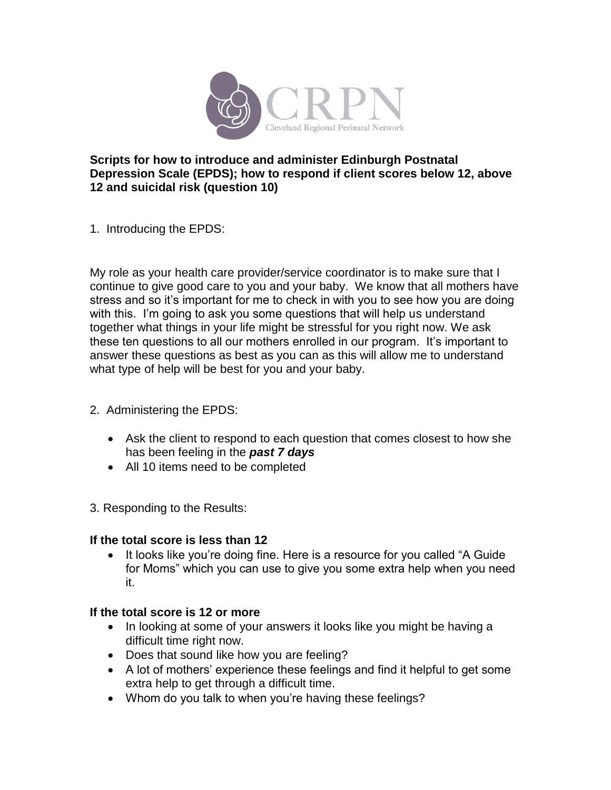

# **Scripts for how to introduce and administer Edinburgh Postnatal Depression Scale (EPDS); how to respond if client scores below 12, above 12 and suicidal risk (question 10)**

1. Introducing the EPDS:

My role as your health care provider/service coordinator is to make sure that I continue to give good care to you and your baby. We know that all mothers have stress and so it's important for me to check in with you to see how you are doing with this. I'm going to ask you some questions that will help us understand together what things in your life might be stressful for you right now. We ask these ten questions to all our mothers enrolled in our program. It's important to answer these questions as best as you can as this will allow me to understand what type of help will be best for you and your baby.

- 2. Administering the EPDS:
	- Ask the client to respond to each question that comes closest to how she has been feeling in the *past 7 days*
	- All 10 items need to be completed
- 3. Responding to the Results:

# **If the total score is less than 12**

• It looks like you're doing fine. Here is a resource for you called "A Guide" for Moms" which you can use to give you some extra help when you need it.

# **If the total score is 12 or more**

- In looking at some of your answers it looks like you might be having a difficult time right now.
- Does that sound like how you are feeling?
- A lot of mothers' experience these feelings and find it helpful to get some extra help to get through a difficult time.
- Whom do you talk to when you're having these feelings?